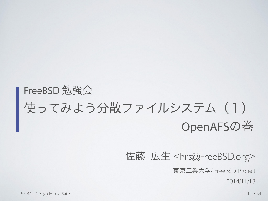### FreeBSD 勉強会 使ってみよう分散ファイルシステム (1) OpenAFSの巻

佐藤 広生 <[hrs@FreeBSD.org>](mailto:hrs@FreeBSD.org)

東京工業大学/ FreeBSD Project

2014/11/13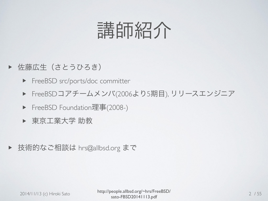

- ▶ 佐藤広生 (さとうひろき)
	- ▶ FreeBSD src/ports/doc committer
	- ▶ FreeBSDコアチームメンバ(2006より5期目), リリースエンジニア
	- ▶ FreeBSD Foundation理事(2008-)
	- ▶ 東京工業大学 助教
- ▶ 技術的なご相談は hrs@allbsd.org まで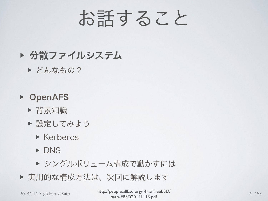# お話すること

#### ▶ 分散ファイルシステム

▶ どんなもの?

#### ▶ OpenAFS

- ▶ 背景知識
- ▶ 設定してみよう
	- ▶ Kerberos
	- ▶ DNS
	- ▶ シングルボリューム構成で動かすには
- ▶ 実用的な構成方法は、次回に解説します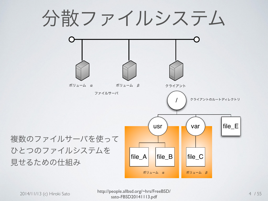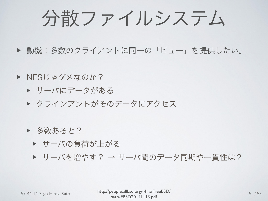分散ファイルシステム

▶ 動機:多数のクライアントに同一の「ビュー」を提供したい。

▶ NFSじゃダメなのか?

▶ サーバにデータがある

▶ クラインアントがそのデータにアクセス

▶ 多数あると?

▶ サーバの負荷が上がる

▶ サーバを増やす? → サーバ間のデータ同期や一貫性は?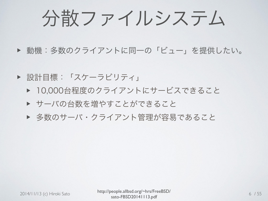分散ファイルシステム

▶ 動機:多数のクライアントに同一の「ビュー」を提供したい。

▶ 設計目標:「スケーラビリティ」

- ▶ 10,000台程度のクライアントにサービスできること
- ▶ サーバの台数を増やすことができること
- ▶ 多数のサーバ・クライアント管理が容易であること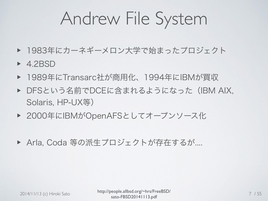- ▶ 1983年にカーネギーメロン大学で始まったプロジェクト
- ▶ 4.2BSD
- ▶ 1989年にTransarc社が商用化、1994年にIBMが買収
- ▶ DFSという名前でDCEに含まれるようになった (IBM AIX, Solaris, HP-UX等)
- ▶ 2000年にIBMがOpenAFSとしてオープンソース化
- ▶ Arla, Coda 等の派生プロジェクトが存在するが....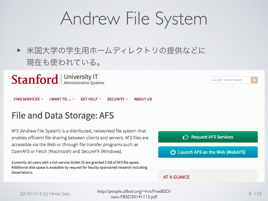▶ 米国大学の学生用ホームディレクトリの提供などに 現在も使われている。

**Stanford** Mill Administrative Systems

**FIND SERVICES**  $-$ **I WANT TO ...**  $\sim$ GET HELP  $\sim$  $SECURITY -$ **ABOUT US** 

#### File and Data Storage: AFS

AFS (Andrew File System) is a distributed, networked file system that enables efficient file sharing between clients and servers. AFS files are accessible via the Web or through file transfer programs such as OpenAFS or Fetch (Macintosh) and SecureFX (Windows).

Currently all users with a full-service SUNet ID are granted 5 GB of AFS file space. Additional disk space is available by request for faculty-sponsored research including dissertations.



Google<sup>74</sup> Custom Search

#### **AT A GLANCE**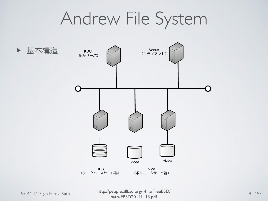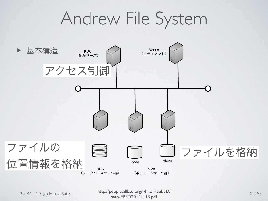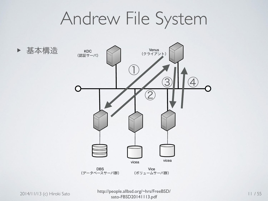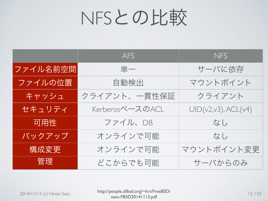# NFSとの比較

|          | <b>AFS</b>      | <b>NFS</b>          |
|----------|-----------------|---------------------|
| ファイル名前空間 | 東一              | サーバに依存              |
| ファイルの位置  | 自動検出            | マウントポイント            |
| キャッシュ    | クライアント、一貫性保証    | クライアント              |
| セキュリティ   | KerberosベースのACL | UID(v2,v3), ACL(v4) |
| 可用性      | ファイル、DB         | なし                  |
| バックアップ   | オンラインで可能        | なし                  |
| 構成変更     | オンラインで可能        | マウントポイント変更          |
| 管理       | どこからでも可能        | サーバからのみ             |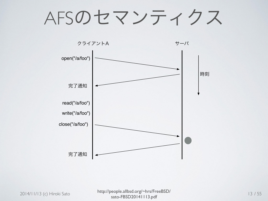## AFSのセマンティクス

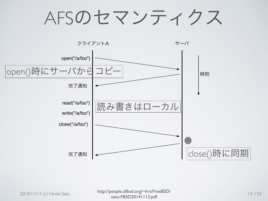# AFSのセマンティクス

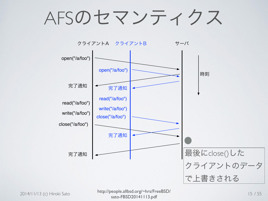AFSのセマンティクス

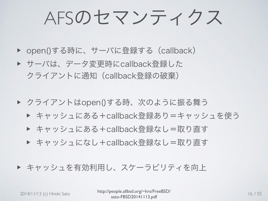AFSのセマンティクス

- ▶ open()する時に、サーバに登録する (callback)
- ▶ サーバは、データ変更時にcallback登録した クライアントに通知(callback登録の破棄)
- ▶ クライアントはopen()する時、次のように振る舞う
	- ▶ キャッシュにある+callback登録あり=キャッシュを使う
	- ▶ キャッシュにある+callback登録なし=取り直す
	- ▶ キャッシュになし+callback登録なし=取り直す
- ▶ キャッシュを有効利用し、スケーラビリティを向上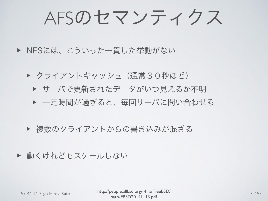AFSのセマンティクス

- ▶ NFSには、こういった一貫した挙動がない
	- ▶ クライアントキャッシュ(通常30秒ほど)
		- ▶ サーバで更新されたデータがいつ見えるか不明 ▶ 一定時間が過ぎると、毎回サーバに問い合わせる
	- ▶ 複数のクライアントからの書き込みが混ざる

▶ 動くけれどもスケールしない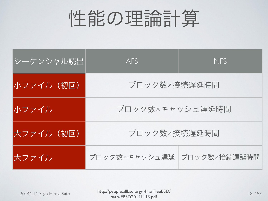| <u>シーケンシャル読出</u> | AFS                        | <b>NFS</b> |  |
|------------------|----------------------------|------------|--|
| 小ファイル(初回)        | ブロック数×接続遅延時間               |            |  |
| 小ファイル            | ブロック数×キャッシュ遅延時間            |            |  |
| 大ファイル(初回)        | ブロック数×接続遅延時間               |            |  |
| 大ファイル            | ブロック数×キャッシュ遅延 ブロック数×接続遅延時間 |            |  |

2014/11/13 (c) Hiroki Sato http://people.allbsd.org/~hrs/FreeBSD/<br>
Sato CBSD20141112 - df sato-FBSD20141113.pdf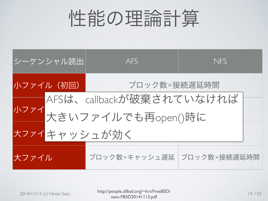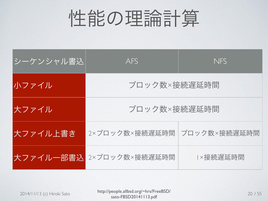| シーケンシャル書込 | AFS            | <b>NFS</b>   |  |
|-----------|----------------|--------------|--|
| 小ファイル     | ブロック数×接続遅延時間   |              |  |
| 大ファイル     | ブロック数×接続遅延時間   |              |  |
| 大ファイル上書き  | 2×ブロック数×接続遅延時間 | ブロック数×接続遅延時間 |  |
| 大ファイル一部書込 | 2×ブロック数×接続遅延時間 | ×接続遅延時間      |  |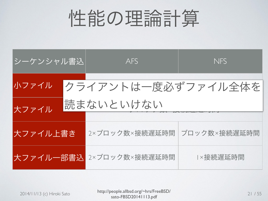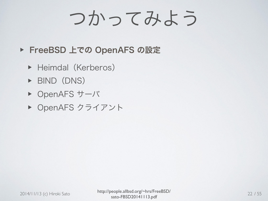# つかってみよう

- ▶ FreeBSD 上での OpenAFS の設定
	- ▶ Heimdal (Kerberos)
	- ▶ BIND(DNS)
	- ▶ OpenAFS サーバ
	- ▶ OpenAFS クライアント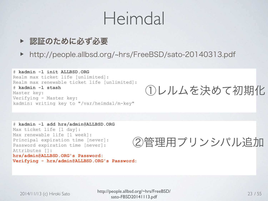### Heimdal

- ▶ 認証のために必ず必要
- ▶ http://people.allbsd.org/~hrs/FreeBSD/sato-20140313.pdf

![](_page_22_Picture_3.jpeg)

①レルムを決めて初期化

```
# kadmin -l add hrs/admin@ALLBSD.ORG 
Max ticket life [1 day]: 
Max renewable life [1 week]: 
Principal expiration time [never]: 
Password expiration time [never]: 
Attributes []: 
hrs/admin@ALLBSD.ORG's Password: 
Verifying - hrs/admin@ALLBSD.ORG's Password:
```
②管理用プリンシパル追加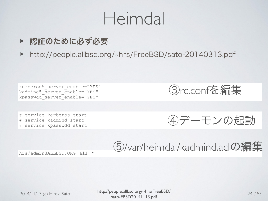### Heimdal

- ▶ 認証のために必ず必要
- ▶ http://people.allbsd.org/~hrs/FreeBSD/sato-20140313.pdf

kerberos5 server enable="YES" kadmind5\_server\_enable="YES" kpasswdd\_server\_enable="YES"

# service kerberos start # service kadmind start # service kpasswdd start

③rc.confを編集

④デーモンの起動

hrs/admin@ALLBSD.ORG all \* 66 G/var/heimdal/kadmind.aclの編集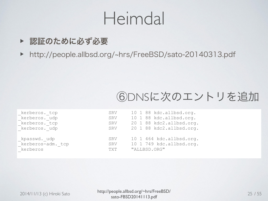### Heimdal

- ▶ 認証のために必ず必要
- ▶ http://people.allbsd.org/~hrs/FreeBSD/sato-20140313.pdf

#### ⑥DNSに次のエントリを追加

| _kerberos. tcp     | SRV | 10 1 88 kdc.allbsd.org.  |
|--------------------|-----|--------------------------|
| _kerberos._udp     | SRV | 10 1 88 kdc.allbsd.org.  |
| kerberos. tcp      | SRV | 20 1 88 kdc2.allbsd.org. |
| kerberos. udp      | SRV | 20 1 88 kdc2.allbsd.org. |
|                    |     |                          |
| _kpasswd._udp      | SRV | 10 1 464 kdc.allbsd.org. |
| _kerberos-adm._tcp | SRV | 10 1 749 kdc.allbsd.org. |
| kerberos           | TXT | "ALLBSD.ORG"             |
|                    |     |                          |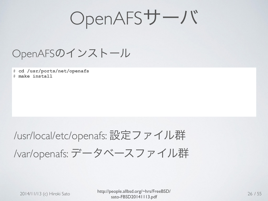OpenAFSサーバ

OpenAFSのインストール

# **cd /usr/ports/net/openafs** # **make install**

### /usr/local/etc/openafs: 設定ファイル群 /var/openafs: データベースファイル群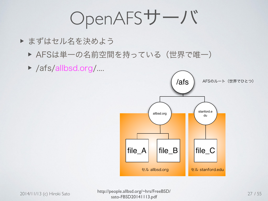OpenAFSサーバ

- ▶ まずはセル名を決めよう
	- ▶ AFSは単一の名前空間を持っている(世界で唯一)
	- ▶ /afs/allbsd.org/....

![](_page_26_Figure_4.jpeg)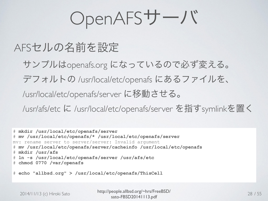OpenAFSサーバ

#### AFSセルの名前を設定

 サンプルはopenafs.org になっているので必ず変える。 デフォルトの /usr/local/etc/openafs にあるファイルを、 /usr/local/etc/openafs/server に移動させる。 /usr/afs/etc に /usr/local/etc/openafs/server を指すsymlinkを置く

# **mkdir /usr/local/etc/openafs/server**  # **mv /usr/local/etc/openafs/\* /usr/local/etc/openafs/server** mv: rename server to server/server: Invalid argument # **mv /usr/local/etc/openafs/server/cacheinfo /usr/local/etc/openafs** # **mkdir /usr/afs**  # **ln -s /usr/local/etc/openafs/server /usr/afs/etc**  # **chmod 0770 /var/openafs** 

# **echo "allbsd.org" > /usr/local/etc/openafs/ThisCell**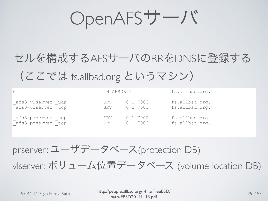OpenAFSサーバ

### セルを構成するAFSサーバのRRをDNSに登録する (ここでは fs.allbsd.org というマシン)

|                                            | IN AFSDB 1 |          | fs.allbsd.org. |
|--------------------------------------------|------------|----------|----------------|
| afs3-vlserver. udp                         | SRV        | 0 1 7003 | fs.allbsd.org. |
| afs3-vlserver. tcp                         | SRV        | 0 1 7003 | fs.allbsd.org. |
| _afs3-prserver._udp<br>_afs3-prserver._tcp | SRV        | 0 1 7002 | fs.allbsd.org. |
|                                            | SRV        | 0 1 7002 | fs.allbsd.org. |

prserver: ユーザデータベース(protection DB)

vlserver: ボリューム位置データベース (volume location DB)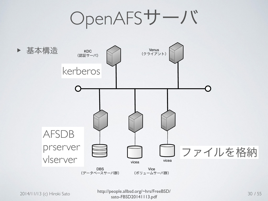OpenAFSサーバ

![](_page_29_Figure_1.jpeg)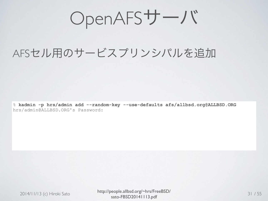OpenAFSサーバ

#### AFSセル用のサービスプリンシパルを追加

% **kadmin -p hrs/admin add --random-key --use-defaults afs/allbsd.org@ALLBSD.ORG**  hrs/admin@ALLBSD.ORG's Password: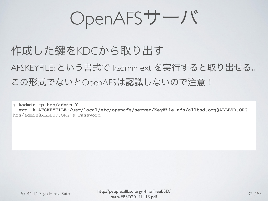OpenAFSサーバ

作成した鍵をKDCから取り出す AFSKEYFILE: という書式で kadmin ext を実行すると取り出せる。 この形式でないとOpenAFSは認識しないので注意!

# **kadmin -p hrs/admin ¥ ext -k AFSKEYFILE:/usr/local/etc/openafs/server/KeyFile afs/allbsd.org@ALLBSD.ORG** hrs/admin@ALLBSD.ORG's Password: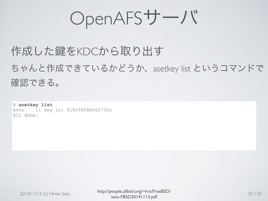OpenAFSサーバ

#### 作成した鍵をKDCから取り出す

ちゃんと作成できているかどうか、asetkey list というコマンドで 確認できる。

# **asetkey list** kvno 1: key is: 918c5858b562732c All done.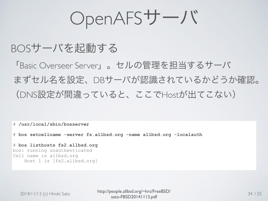OpenAFSサーバ

#### BOSサーバを起動する

「Basic Overseer Server」。セルの管理を担当するサーバ まずセル名を設定、DBサーバが認識されているかどうか確認。 (DNS設定が間違っていると、ここでHostが出てこない)

# **/usr/local/sbin/bosserver** 

# **bos setcellname -server fs.allbsd.org -name allbsd.org -localauth** 

# **bos listhosts fs2.allbsd.org**  bos: running unauthenticated Cell name is allbsd.org Host 1 is [fs2.allbsd.org]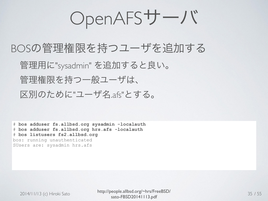OpenAFSサーバ

#### BOSの管理権限を持つユーザを追加する 管理用に"sysadmin" を追加すると良い。 管理権限を持つ一般ユーザは、 区別のために"ユーザ名.afs"とする。

# **bos adduser fs.allbsd.org sysadmin -localauth**  # **bos adduser fs.allbsd.org hrs.afs -localauth**  # **bos listusers fs2.allbsd.org**  bos: running unauthenticated SUsers are: sysadmin hrs.afs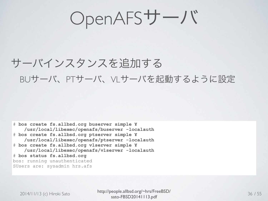#### サーバインスタンスを追加する BUサーバ、PTサーバ、VLサーバを起動するように設定

# **bos create fs.allbsd.org buserver simple ¥ /usr/local/libexec/openafs/buserver -localauth**  # **bos create fs.allbsd.org ptserver simple ¥ /usr/local/libexec/openafs/ptserver -localauth**  # **bos create fs.allbsd.org vlserver simple ¥ /usr/local/libexec/openafs/vlserver -localauth**  # **bos status fs.allbsd.org**  bos: running unauthenticated SUsers are: sysadmin hrs.afs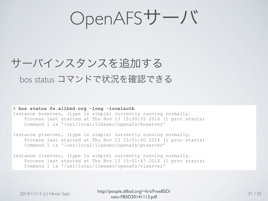#### サーバインスタンスを追加する bos status コマンドで状況を確認できる

# **bos status fs.allbsd.org -long -localauth** Instance buserver, (type is simple) currently running normally. Process last started at Thu Nov 13 15:50:55 2014 (1 proc starts) Command 1 is '/usr/local/libexec/openafs/buserver'

Instance ptserver, (type is simple) currently running normally. Process last started at Thu Nov 13 15:51:40 2014 (1 proc starts) Command 1 is '/usr/local/libexec/openafs/ptserver'

Instance vlserver, (type is simple) currently running normally. Process last started at Thu Nov 13 15:51:47 2014 (1 proc starts) Command 1 is '/usr/local/libexec/openafs/vlserver'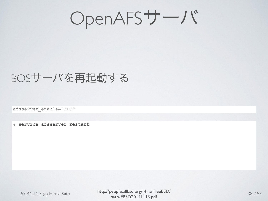#### BOSサーバを再起動する

afsserver\_enable="YES"

# **service afsserver restart**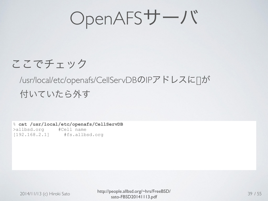#### ここでチェック

#### /usr/local/etc/openafs/CellServDBのIPアドレスに[]が 付いていたら外す

% **cat /usr/local/etc/openafs/CellServDB**  >allbsd.org #Cell name [192.168.2.1] #fs.allbsd.org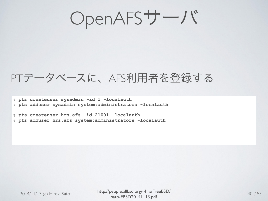#### PTデータベースに、AFS利用者を登録する

# **pts createuser sysadmin -id 1 -localauth**  # **pts adduser sysadmin system:administrators -localauth** 

# **pts createuser hrs.afs -id 21001 -localauth**  # **pts adduser hrs.afs system:administrators -localauth**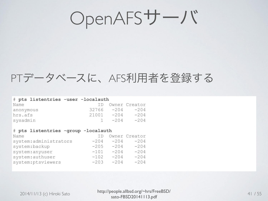#### PTデータベースに、AFS利用者を登録する

| # pts listentries -user -localauth |            |          |                  |
|------------------------------------|------------|----------|------------------|
| Name                               |            |          | ID Owner Creator |
| anonymous                          | 32766 -204 |          | $-204$           |
| hrs.afs                            | 21001      | $-204$   | $-204$           |
| sysadmin                           |            | $1 -204$ | $-204$           |

#### # **pts listentries -group -localauth**

| Name                   |        |        | Owner Creator |
|------------------------|--------|--------|---------------|
| system: administrators | $-204$ | $-204$ | $-204$        |
| system:backup          | $-205$ | $-204$ | $-204$        |
| system: anyuser        | $-101$ | $-204$ | $-204$        |
| system:authuser        | $-102$ | $-204$ | $-204$        |
| system: ptsviewers     | $-203$ | $-204$ | $-204$        |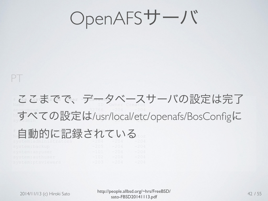#### PT # **pts listentries -user -localauth**  Name ID Owner Creator  $\frac{1}{204}$   $\frac{32766}{204}$   $\frac{-204}{204}$ hrs.afs 21001 -204 -204 すべての設定は/usr/local/etc/openafs/BosConfigに  $\pm$  中国 舌折りケーション 全国 キーケーター ■自動的に記録されている system:administrators -204 -204 -204 system:backup -205 -204 -204 system:anyuser -101 -204 -204 ここまでで、データベースサーバの設定は完了

system:authuser -102 -204 -204 system:ptsviewers -203 -204 -204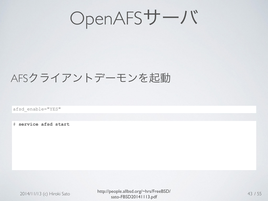OpenAFSサーバ

#### AFSクライアントデーモンを起動

afsd\_enable="YES"

# **service afsd start**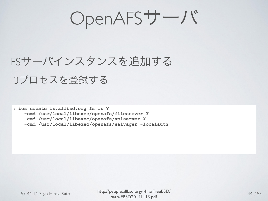OpenAFSサーバ

#### FSサーバインスタンスを追加する 3プロセスを登録する

# **bos create fs.allbsd.org fs fs ¥** 

 **-cmd /usr/local/libexec/openafs/fileserver ¥** 

 **-cmd /usr/local/libexec/openafs/volserver ¥** 

 **-cmd /usr/local/libexec/openafs/salvager -localauth**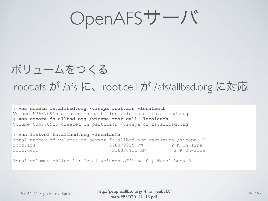#### ボリュームをつくる

#### root.afs が /afs に、root.cell が /afs/allbsd.org に対応

# **vos create fs.allbsd.org /vicepa root.afs -localauth**  Volume 536870915 created on partition /vicepa of fs.allbsd.org # **vos create fs.allbsd.org /vicepa root.cell -localauth**  Volume 536870915 created on partition /vicepa of fs.allbsd.org

# **vos listvol fs.allbsd.org -localauth** Total number of volumes on server fs.allbsd.org partition /vicepa: 1<br>root.afs 536870915 RW 2 K On-line root.afs 536870915 RW root.cell 536870915 RW 2 K On-line

Total volumes onLine 1 ; Total volumes offLine 0 ; Total busy 0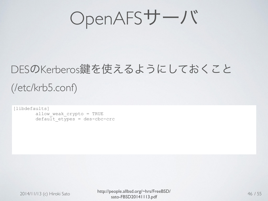OpenAFSサーバ

### DESのKerberos伴を使えるようにしておくこと (/etc/krb5.conf)

[libdefaults] allow weak crypto = TRUE  $\det$  default etypes = des-cbc-crc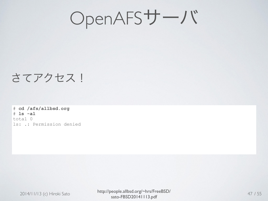OpenAFSサーバ

#### さてアクセス!

# **cd /afs/allbsd.org**  # **ls -al**  total 0 ls: .: Permission denied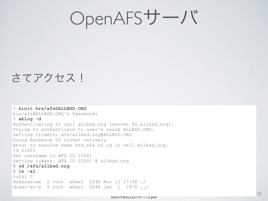#### さてアクセス!

% **kinit hrs/afs@ALLBSD.ORG**  hrs/afs@ALLBSD.ORG's Password: % **aklog -d** Authenticating to cell allbsd.org (server fs.allbsd.org). Trying to authenticate to user's realm ALLBSD.ORG. Getting tickets: afs/allbsd.org@ALLBSD.ORG Using Kerberos V5 ticket natively About to resolve name hrs.afs to id in cell allbsd.org. Id 21001 Set username to AFS ID 21001 Setting tokens. AFS ID 21001 @ allbsd.org # **cd /afs/allbsd.org**  # **ls -al**  total 5 drwxrwxrwx 2 root wheel 2048 Nov 13 17:38 ./ drwxr-xr-x 5 root wheel 2048 Jan 1 1970 ../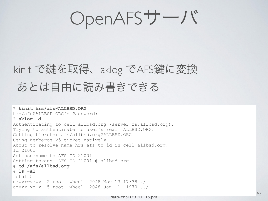### kinit で鍵を取得、aklog でAFS鍵に変換 あとは自由に読み書きできる

% **kinit hrs/afs@ALLBSD.ORG**  hrs/afs@ALLBSD.ORG's Password: % **aklog -d** Authenticating to cell allbsd.org (server fs.allbsd.org). Trying to authenticate to user's realm ALLBSD.ORG. Getting tickets: afs/allbsd.org@ALLBSD.ORG Using Kerberos V5 ticket natively About to resolve name hrs.afs to id in cell allbsd.org. Id 21001 Set username to AFS ID 21001 Setting tokens. AFS ID 21001 @ allbsd.org # **cd /afs/allbsd.org**  # **ls -al**  total 5 drwxrwxrwx 2 root wheel 2048 Nov 13 17:38 ./ drwxr-xr-x 5 root wheel 2048 Jan 1 1970 ../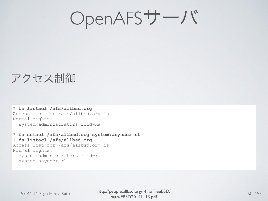#### アクセス制御

% **fs listacl /afs/allbsd.org**  Access list for /afs/allbsd.org is Normal rights: system:administrators rlidwka

% **fs setacl /afs/allbsd.org system:anyuser rl** % **fs listacl /afs/allbsd.org**  Access list for /afs/allbsd.org is Normal rights: system:administrators rlidwka system:anyuser rl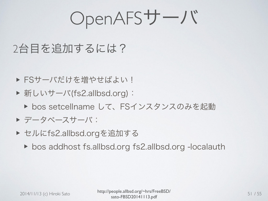#### 2台目を追加するには?

- ▶ FSサーバだけを増やせばよい!
- ▶ 新しいサーバ(fs2.allbsd.org):
	- ▶ bos setcellname して、FSインスタンスのみを起動
- ▶ データベースサーバ:
- ▶ セルにfs2.allbsd.orgを追加する
	- ▶ bos addhost fs.allbsd.org fs2.allbsd.org -localauth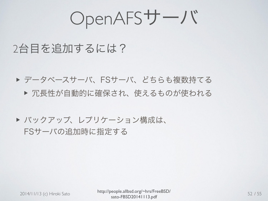OpenAFSサーバ

#### 2台目を追加するには?

▶ データベースサーバ、FSサーバ、どちらも複数持てる ▶ 冗長性が自動的に確保され、使えるものが使われる

#### ▶ バックアップ、レプリケーション構成は、 FSサーバの追加時に指定する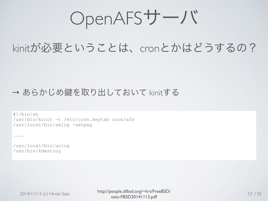#### kinitが必要ということは、cronとかはどうするの?

#### → あらかじめ鍵を取り出しておいて kinitする

#!/bin/sh /usr/bin/kinit -t /etc/cron.keytab cron/afs /usr/local/bin/aklog -setpag

....

/usr/local/bin/unlog /usr/bin/kdestroy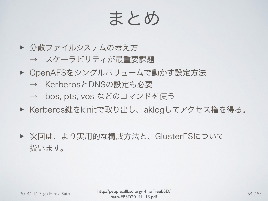### まとめ

- ▶ 分散ファイルシステムの考え方 → スケーラビリティが最重要課題
- ▶ OpenAFSをシングルボリュームで動かす設定方法
	- → KerberosとDNSの設定も必要
	- → bos, pts, vos などのコマンドを使う
- ▶ Kerberos鍵をkinitで取り出し、aklogしてアクセス権を得る。
- ▶ 次回は、より実用的な構成方法と、GlusterFSについて 扱います。